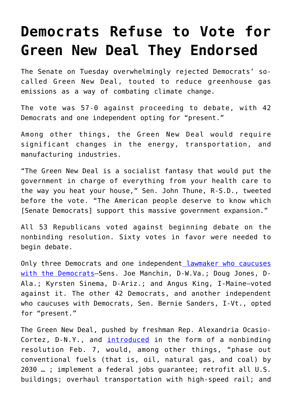## **[Democrats Refuse to Vote for](https://intellectualtakeout.org/2019/03/democrats-refuse-to-vote-for-green-new-deal-they-endorsed/) [Green New Deal They Endorsed](https://intellectualtakeout.org/2019/03/democrats-refuse-to-vote-for-green-new-deal-they-endorsed/)**

The Senate on Tuesday overwhelmingly rejected Democrats' socalled Green New Deal, touted to reduce greenhouse gas emissions as a way of combating climate change.

The vote was 57-0 against proceeding to debate, with 42 Democrats and one independent opting for "present."

Among other things, the Green New Deal would require significant changes in the energy, transportation, and manufacturing industries.

"The Green New Deal is a socialist fantasy that would put the government in charge of everything from your health care to the way you heat your house," Sen. John Thune, R-S.D., tweeted before the vote. "The American people deserve to know which [Senate Democrats] support this massive government expansion."

All 53 Republicans voted against beginning debate on the nonbinding resolution. Sixty votes in favor were needed to begin debate.

Only three Democrats and one independent [lawmaker who caucuses](https://twitter.com/ChadPergram/status/1110646514601349120) [with the Democrats—](https://twitter.com/ChadPergram/status/1110646514601349120)Sens. Joe Manchin, D-W.Va.; Doug Jones, D-Ala.; Kyrsten Sinema, D-Ariz.; and Angus King, I-Maine—voted against it. The other 42 Democrats, and another independent who caucuses with Democrats, Sen. Bernie Sanders, I-Vt., opted for "present."

The Green New Deal, pushed by freshman Rep. Alexandria Ocasio-Cortez, D-N.Y., and [introduced](https://www.dailysignal.com/2019/02/25/green-new-deal-is-alienating-mainstream-americans/) in the form of a nonbinding resolution Feb. 7, would, among other things, "phase out conventional fuels (that is, oil, natural gas, and coal) by 2030 … ; implement a federal jobs guarantee; retrofit all U.S. buildings; overhaul transportation with high-speed rail; and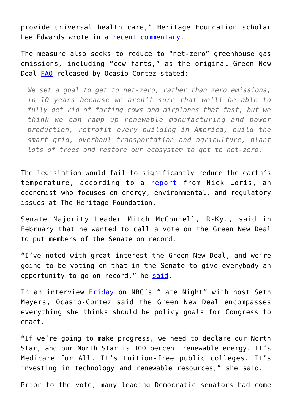provide universal health care," Heritage Foundation scholar Lee Edwards wrote in a [recent commentary.](https://www.dailysignal.com/2019/02/13/the-true-meaning-of-that-green-new-deal/)

The measure also seeks to reduce to "net-zero" greenhouse gas emissions, including "cow farts," as the original Green New Deal [FAQ](https://assets.documentcloud.org/documents/5729035/Green-New-Deal-FAQ.pdf) released by Ocasio-Cortez stated:

*We set a goal to get to net-zero, rather than zero emissions, in 10 years because we aren't sure that we'll be able to fully get rid of farting cows and airplanes that fast, but we think we can ramp up renewable manufacturing and power production, retrofit every building in America, build the smart grid, overhaul transportation and agriculture, plant lots of trees and restore our ecosystem to get to net-zero.*

The legislation would fail to significantly reduce the earth's temperature, according to a [report](https://www.dailysignal.com/2019/02/07/green-new-deal-would-barely-change-earths-temperature-here-are-the-facts/) from Nick Loris, an economist who focuses on energy, environmental, and regulatory issues at The Heritage Foundation.

Senate Majority Leader Mitch McConnell, R-Ky., said in February that he wanted to call a vote on the Green New Deal to put members of the Senate on record.

"I've noted with great interest the Green New Deal, and we're going to be voting on that in the Senate to give everybody an opportunity to go on record," he [said](https://www.realclearpolitics.com/video/2019/02/12/mcconnell_senate_will_vote_on_green_new_deal_to_give_an_opportunity_to_go_on_record.html).

In an interview **[Friday](https://www.youtube.com/watch?v=3xtf9QE-lME)** on NBC's "Late Night" with host Seth Meyers, Ocasio-Cortez said the Green New Deal encompasses everything she thinks should be policy goals for Congress to enact.

"If we're going to make progress, we need to declare our North Star, and our North Star is 100 percent renewable energy. It's Medicare for All. It's tuition-free public colleges. It's investing in technology and renewable resources," she said.

Prior to the vote, many leading Democratic senators had come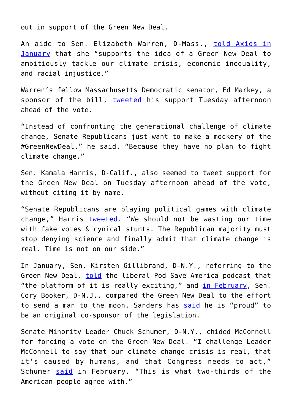out in support of the Green New Deal.

An aide to Sen. Elizabeth Warren, D-Mass., [told Axios in](https://www.axios.com/elizabeth-warren-backs-idea-of-green-new-deal-8585d278-ca96-484a-8e22-1f616956c034.html) [January](https://www.axios.com/elizabeth-warren-backs-idea-of-green-new-deal-8585d278-ca96-484a-8e22-1f616956c034.html) that she "supports the idea of a Green New Deal to ambitiously tackle our climate crisis, economic inequality, and racial injustice."

Warren's fellow Massachusetts Democratic senator, Ed Markey, a sponsor of the bill, [tweeted](https://twitter.com/hashtag/GreenNewDeal?src=hashtag_click) his support Tuesday afternoon ahead of the vote.

"Instead of confronting the generational challenge of climate change, Senate Republicans just want to make a mockery of the #GreenNewDeal," he said. "Because they have no plan to fight climate change."

Sen. Kamala Harris, D-Calif., also seemed to tweet support for the Green New Deal on Tuesday afternoon ahead of the vote, without citing it by name.

"Senate Republicans are playing political games with climate change," Harris [tweeted](https://twitter.com/SenKamalaHarris/status/1110600566382694400). "We should not be wasting our time with fake votes & cynical stunts. The Republican majority must stop denying science and finally admit that climate change is real. Time is not on our side."

In January, Sen. Kirsten Gillibrand, D-N.Y., referring to the Green New Deal, [told](https://thehill.com/policy/energy-environment/426582-gillibrand-backs-green-new-deal-to-fight-climate-change) the liberal Pod Save America podcast that "the platform of it is really exciting," and [in February](https://www.foxnews.com/politics/booker-compares-green-new-deal-to-going-to-the-moon-defeating-nazis), Sen. Cory Booker, D-N.J., compared the Green New Deal to the effort to send a man to the moon. Sanders has [said](https://www.axios.com/2020-presidential-candidates-green-new-deal-22faff60-3fee-45f3-8636-09e437c82431.html) he is "proud" to be an original co-sponsor of the legislation.

Senate Minority Leader Chuck Schumer, D-N.Y., chided McConnell for forcing a vote on the Green New Deal. "I challenge Leader McConnell to say that our climate change crisis is real, that it's caused by humans, and that Congress needs to act," Schumer [said](https://www.politico.com/story/2019/02/14/schumer-green-new-deal-1175513) in February. "This is what two-thirds of the American people agree with."